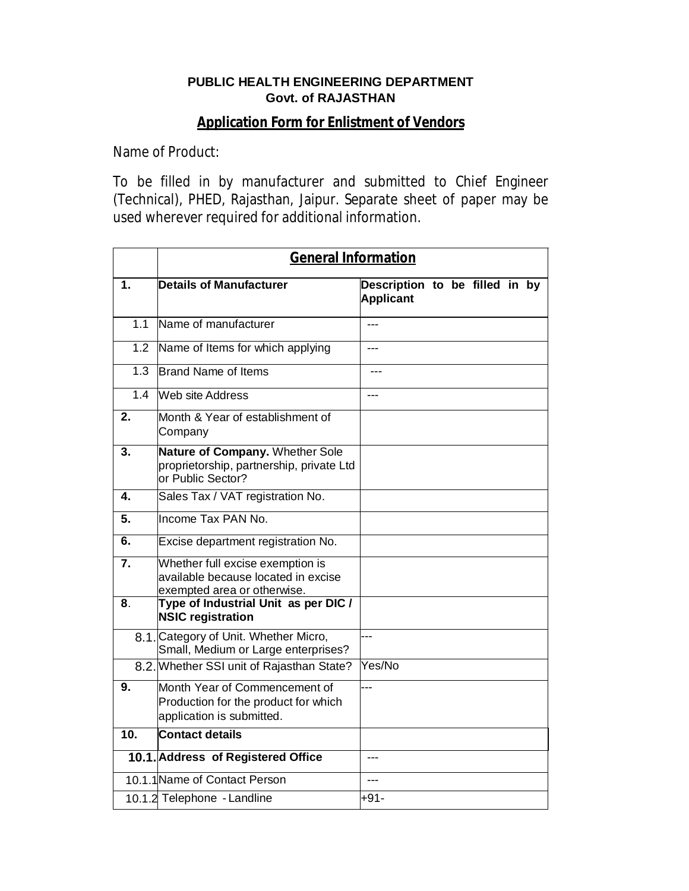## **PUBLIC HEALTH ENGINEERING DEPARTMENT Govt. of RAJASTHAN**

## **Application Form for Enlistment of Vendors**

Name of Product:

To be filled in by manufacturer and submitted to Chief Engineer (Technical), PHED, Rajasthan, Jaipur. Separate sheet of paper may be used wherever required for additional information.

|                  | <b>General Information</b>                                                                             |                                                    |  |  |  |  |  |  |
|------------------|--------------------------------------------------------------------------------------------------------|----------------------------------------------------|--|--|--|--|--|--|
| 1.               | <b>Details of Manufacturer</b>                                                                         | Description to be filled in by<br><b>Applicant</b> |  |  |  |  |  |  |
| 1.1              | Name of manufacturer                                                                                   | $---$                                              |  |  |  |  |  |  |
| 1.2              | Name of Items for which applying                                                                       | ---                                                |  |  |  |  |  |  |
| $\overline{1.3}$ | Brand Name of Items                                                                                    | ---                                                |  |  |  |  |  |  |
| 14               | Web site Address                                                                                       |                                                    |  |  |  |  |  |  |
| $\overline{2}$ . | Month & Year of establishment of<br>Company                                                            |                                                    |  |  |  |  |  |  |
| 3.               | Nature of Company. Whether Sole<br>proprietorship, partnership, private Ltd<br>or Public Sector?       |                                                    |  |  |  |  |  |  |
| 4.               | Sales Tax / VAT registration No.                                                                       |                                                    |  |  |  |  |  |  |
| 5.               | Income Tax PAN No.                                                                                     |                                                    |  |  |  |  |  |  |
| 6.               | Excise department registration No.                                                                     |                                                    |  |  |  |  |  |  |
| $\overline{7}$ . | Whether full excise exemption is<br>available because located in excise<br>exempted area or otherwise. |                                                    |  |  |  |  |  |  |
| 8.               | Type of Industrial Unit as per DIC /<br><b>NSIC registration</b>                                       |                                                    |  |  |  |  |  |  |
|                  | 8.1. Category of Unit. Whether Micro,<br>Small, Medium or Large enterprises?                           |                                                    |  |  |  |  |  |  |
|                  | 8.2. Whether SSI unit of Rajasthan State?                                                              | Yes/No                                             |  |  |  |  |  |  |
| $\overline{9}$ . | Month Year of Commencement of<br>Production for the product for which<br>application is submitted.     |                                                    |  |  |  |  |  |  |
| 10.              | Contact details                                                                                        |                                                    |  |  |  |  |  |  |
|                  | 10.1. Address of Registered Office                                                                     | ---                                                |  |  |  |  |  |  |
|                  | 10.1.1 Name of Contact Person                                                                          |                                                    |  |  |  |  |  |  |
|                  | 10.1.2 Telephone - Landline                                                                            | $+91-$                                             |  |  |  |  |  |  |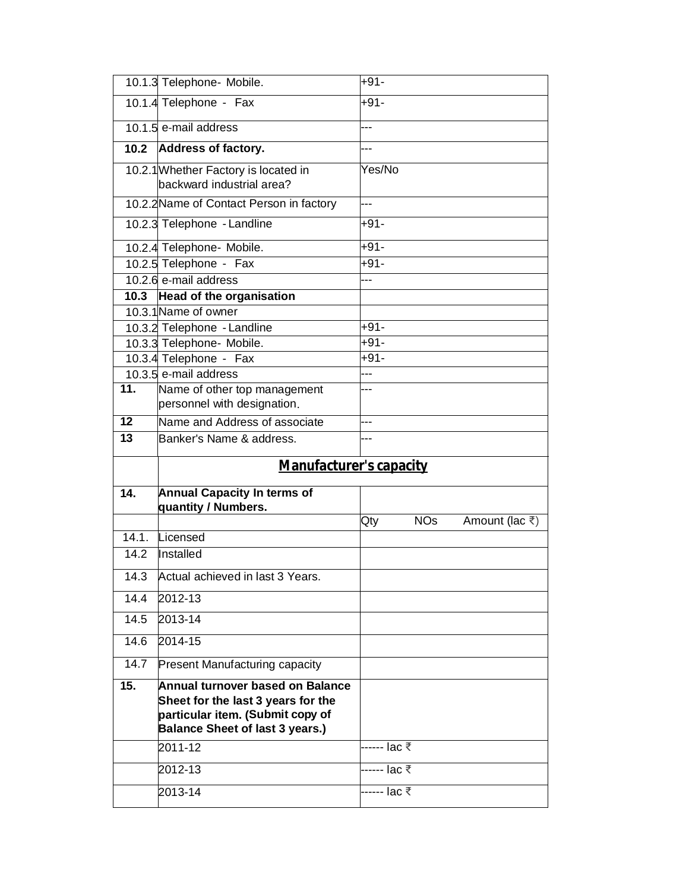|                 | 10.1.3 Telephone- Mobile.                                                                                                                            | +91-         |            |                              |
|-----------------|------------------------------------------------------------------------------------------------------------------------------------------------------|--------------|------------|------------------------------|
|                 | 10.1.4 Telephone - Fax                                                                                                                               | +91-         |            |                              |
|                 | 10.1.5 e-mail address                                                                                                                                |              |            |                              |
|                 | 10.2 Address of factory.                                                                                                                             |              |            |                              |
|                 | 10.2.1 Whether Factory is located in<br>backward industrial area?                                                                                    | Yes/No       |            |                              |
|                 | 10.2.2 Name of Contact Person in factory                                                                                                             |              |            |                              |
|                 | 10.2.3 Telephone - Landline                                                                                                                          | $+91-$       |            |                              |
|                 | 10.2.4 Telephone- Mobile.                                                                                                                            | $+91-$       |            |                              |
|                 | 10.2.5 Telephone - Fax                                                                                                                               | +91-         |            |                              |
|                 | 10.2.6 e-mail address                                                                                                                                |              |            |                              |
|                 | 10.3 Head of the organisation                                                                                                                        |              |            |                              |
|                 | 10.3.1 Name of owner                                                                                                                                 |              |            |                              |
|                 | 10.3.2 Telephone - Landline                                                                                                                          | +91-         |            |                              |
|                 | 10.3.3 Telephone- Mobile.                                                                                                                            | $+91-$       |            |                              |
|                 | 10.3.4 Telephone - Fax                                                                                                                               | +91-         |            |                              |
|                 | 10.3.5 e-mail address                                                                                                                                | ---          |            |                              |
| 11.             | Name of other top management<br>personnel with designation.                                                                                          |              |            |                              |
| 12              | Name and Address of associate                                                                                                                        | ---          |            |                              |
| $\overline{13}$ | Banker's Name & address.                                                                                                                             |              |            |                              |
|                 | <b>Manufacturer's capacity</b>                                                                                                                       |              |            |                              |
| 14.             | <b>Annual Capacity In terms of</b>                                                                                                                   |              |            |                              |
|                 | quantity / Numbers.                                                                                                                                  | Qty          | <b>NOs</b> | Amount (lac $\overline{z}$ ) |
| 14.1.           | Licensed                                                                                                                                             |              |            |                              |
| 14.2            | Installed                                                                                                                                            |              |            |                              |
|                 |                                                                                                                                                      |              |            |                              |
|                 |                                                                                                                                                      |              |            |                              |
|                 | 14.3 Actual achieved in last 3 Years.                                                                                                                |              |            |                              |
| 14.4            | 2012-13                                                                                                                                              |              |            |                              |
| 14.5            | 2013-14                                                                                                                                              |              |            |                              |
| 14.6            | 2014-15                                                                                                                                              |              |            |                              |
| 14.7            | <b>Present Manufacturing capacity</b>                                                                                                                |              |            |                              |
| 15.             | Annual turnover based on Balance<br>Sheet for the last 3 years for the<br>particular item. (Submit copy of<br><b>Balance Sheet of last 3 years.)</b> |              |            |                              |
|                 | $2011 - 12$                                                                                                                                          | ------ lac ₹ |            |                              |
|                 | 2012-13                                                                                                                                              | ----- lac ₹  |            |                              |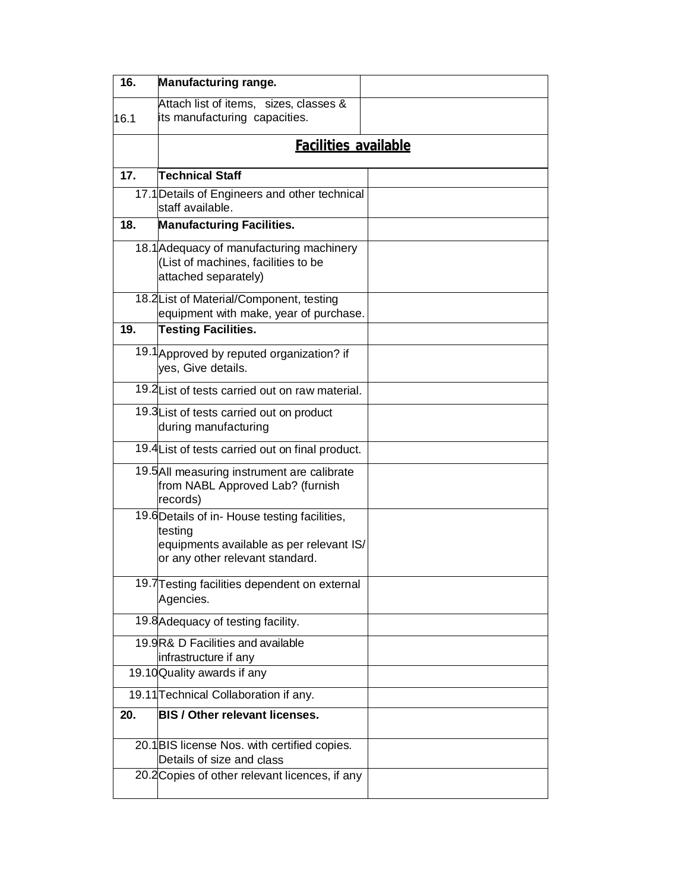| 16.  | <b>Manufacturing range.</b>                                                                                                            |  |  |  |  |
|------|----------------------------------------------------------------------------------------------------------------------------------------|--|--|--|--|
| 16.1 | Attach list of items, sizes, classes &<br>its manufacturing capacities.                                                                |  |  |  |  |
|      | <b>Facilities available</b>                                                                                                            |  |  |  |  |
| 17.  | <b>Technical Staff</b>                                                                                                                 |  |  |  |  |
|      | 17.1 Details of Engineers and other technical<br>staff available.                                                                      |  |  |  |  |
| 18.  | <b>Manufacturing Facilities.</b>                                                                                                       |  |  |  |  |
|      | 18.1 Adequacy of manufacturing machinery<br>(List of machines, facilities to be<br>attached separately)                                |  |  |  |  |
|      | 18.2 List of Material/Component, testing<br>equipment with make, year of purchase.                                                     |  |  |  |  |
| 19.  | <b>Testing Facilities.</b>                                                                                                             |  |  |  |  |
|      | 19.1 Approved by reputed organization? if<br>yes, Give details.                                                                        |  |  |  |  |
|      | 19.2 List of tests carried out on raw material.                                                                                        |  |  |  |  |
|      | 19.3 List of tests carried out on product<br>during manufacturing                                                                      |  |  |  |  |
|      | 19.4 List of tests carried out on final product.                                                                                       |  |  |  |  |
|      | 19.5 All measuring instrument are calibrate<br>from NABL Approved Lab? (furnish<br>records)                                            |  |  |  |  |
|      | 19.6 Details of in-House testing facilities,<br>testing<br>equipments available as per relevant IS/<br>or any other relevant standard. |  |  |  |  |
|      | 19.7 Testing facilities dependent on external<br>Agencies.                                                                             |  |  |  |  |
|      | 19.8 Adequacy of testing facility.                                                                                                     |  |  |  |  |
|      | 19.9R& D Facilities and available<br>infrastructure if any                                                                             |  |  |  |  |
|      | 19.10 Quality awards if any                                                                                                            |  |  |  |  |
|      | 19.11 Technical Collaboration if any.                                                                                                  |  |  |  |  |
| 20.  | <b>BIS / Other relevant licenses.</b>                                                                                                  |  |  |  |  |
|      | 20.1 BIS license Nos. with certified copies.<br>Details of size and class                                                              |  |  |  |  |
|      | 20.2 Copies of other relevant licences, if any                                                                                         |  |  |  |  |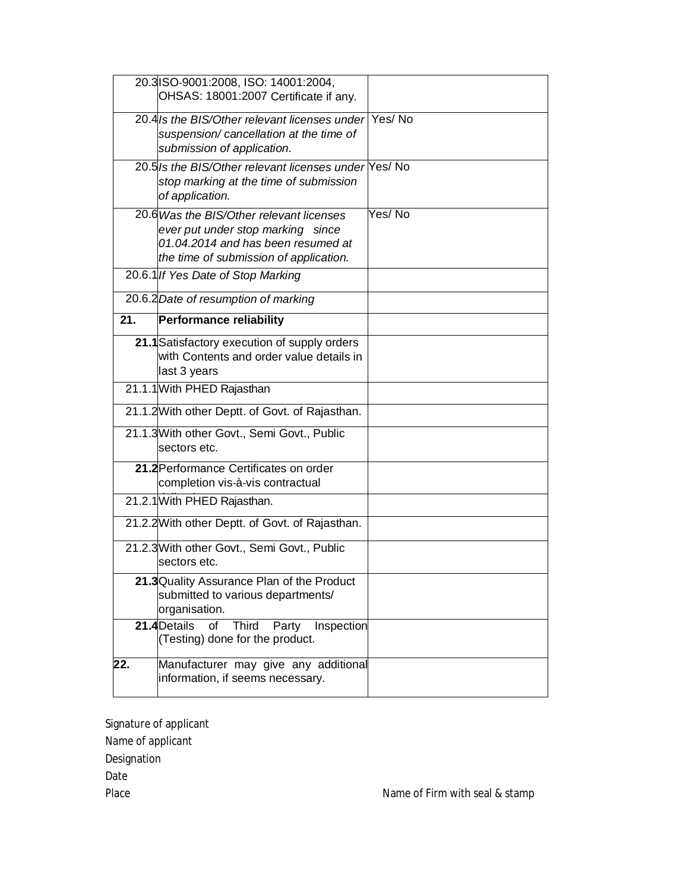|                   | 20.3 ISO-9001:2008, ISO: 14001:2004,<br>OHSAS: 18001:2007 Certificate if any.                                                                                 |        |
|-------------------|---------------------------------------------------------------------------------------------------------------------------------------------------------------|--------|
|                   | 20.4/s the BIS/Other relevant licenses under Yes/No<br>suspension/ cancellation at the time of<br>submission of application.                                  |        |
|                   | 20.5 Is the BIS/Other relevant licenses under Yes/No<br>stop marking at the time of submission<br>of application.                                             |        |
|                   | 20.6 Was the BIS/Other relevant licenses<br>ever put under stop marking since<br>01.04.2014 and has been resumed at<br>the time of submission of application. | Yes/No |
|                   | 20.6.1 If Yes Date of Stop Marking                                                                                                                            |        |
|                   | 20.6.2 Date of resumption of marking                                                                                                                          |        |
| $\overline{21}$ . | Performance reliability                                                                                                                                       |        |
|                   | 21.1 Satisfactory execution of supply orders<br>with Contents and order value details in<br>last 3 years                                                      |        |
|                   | 21.1.1 With PHED Rajasthan                                                                                                                                    |        |
|                   | 21.1.2 With other Deptt. of Govt. of Rajasthan.                                                                                                               |        |
|                   | 21.1.3 With other Govt., Semi Govt., Public<br>lsectors etc.                                                                                                  |        |
|                   | 21.2 Performance Certificates on order<br>completion vis-à-vis contractual                                                                                    |        |
|                   | 21.2.1 With PHED Rajasthan.                                                                                                                                   |        |
|                   | 21.2.2 With other Deptt. of Govt. of Rajasthan.                                                                                                               |        |
|                   | 21.2.3 With other Govt., Semi Govt., Public<br>sectors etc.                                                                                                   |        |
|                   | 21.3 Quality Assurance Plan of the Product<br>submitted to various departments/<br>organisation.                                                              |        |
|                   | 21.4 Details<br>Third Party<br>of<br>Inspection<br>(Testing) done for the product.                                                                            |        |
| 22.               | Manufacturer may give any additional<br>information, if seems necessary.                                                                                      |        |

Signature of applicant Name of applicant Designation Date

Place Name of Firm with seal & stamp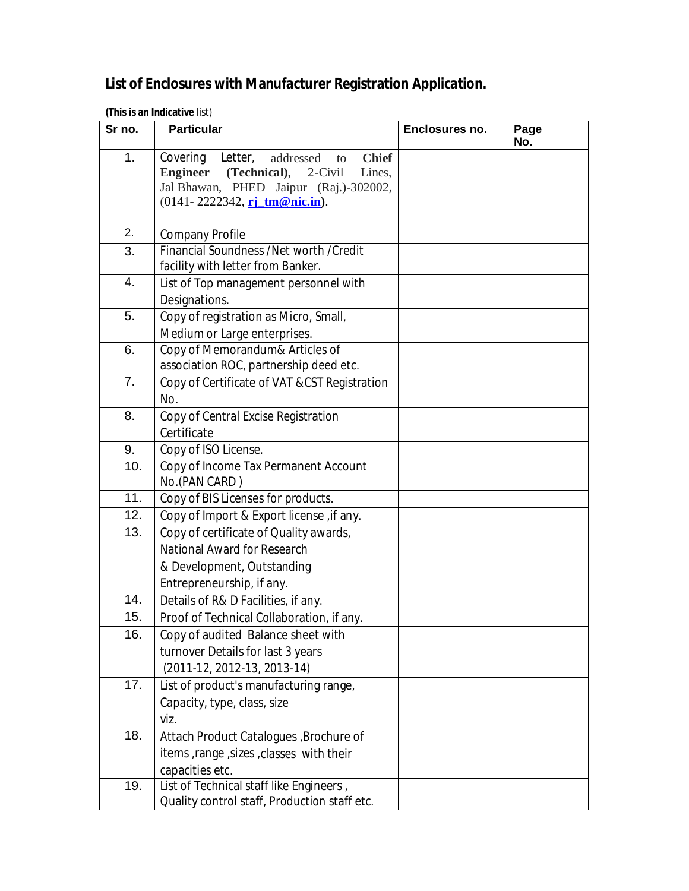## **List of Enclosures with Manufacturer Registration Application.**

|  |  |  | (This is an Indicative list) |  |
|--|--|--|------------------------------|--|
|--|--|--|------------------------------|--|

| Sr no.           | <b>Particular</b>                                       | Enclosures no. | Page<br>No. |
|------------------|---------------------------------------------------------|----------------|-------------|
| 1 <sub>1</sub>   | Letter,<br>Covering<br><b>Chief</b><br>addressed<br>to  |                |             |
|                  | (Technical),<br><b>Engineer</b><br>2-Civil<br>Lines,    |                |             |
|                  | Jal Bhawan, PHED Jaipur (Raj.)-302002,                  |                |             |
|                  | $(0141 - 2222342, \n\underline{\text{r}i\_tm@nic.in}).$ |                |             |
| 2.               | <b>Company Profile</b>                                  |                |             |
| 3.               | Financial Soundness /Net worth /Credit                  |                |             |
|                  | facility with letter from Banker.                       |                |             |
| 4.               | List of Top management personnel with                   |                |             |
|                  | Designations.                                           |                |             |
| 5.               | Copy of registration as Micro, Small,                   |                |             |
|                  | Medium or Large enterprises.                            |                |             |
| 6.               | Copy of Memorandum& Articles of                         |                |             |
|                  | association ROC, partnership deed etc.                  |                |             |
| 7.               | Copy of Certificate of VAT & CST Registration           |                |             |
|                  | No.                                                     |                |             |
| 8.               | Copy of Central Excise Registration                     |                |             |
|                  | Certificate                                             |                |             |
| 9.               | Copy of ISO License.                                    |                |             |
| 10.              | Copy of Income Tax Permanent Account                    |                |             |
|                  | No.(PAN CARD)                                           |                |             |
| 11.              | Copy of BIS Licenses for products.                      |                |             |
| $\overline{1}2.$ | Copy of Import & Export license, if any.                |                |             |
| 13.              | Copy of certificate of Quality awards,                  |                |             |
|                  | <b>National Award for Research</b>                      |                |             |
|                  | & Development, Outstanding                              |                |             |
|                  | Entrepreneurship, if any.                               |                |             |
| 14.              | Details of R& D Facilities, if any.                     |                |             |
| 15.              | Proof of Technical Collaboration, if any.               |                |             |
| 16.              | Copy of audited Balance sheet with                      |                |             |
|                  | turnover Details for last 3 years                       |                |             |
|                  | $(2011-12, 2012-13, 2013-14)$                           |                |             |
| 17.              | List of product's manufacturing range,                  |                |             |
|                  | Capacity, type, class, size                             |                |             |
|                  | viz.                                                    |                |             |
| 18.              | Attach Product Catalogues, Brochure of                  |                |             |
|                  | items , range , sizes , classes with their              |                |             |
|                  | capacities etc.                                         |                |             |
| 19.              | List of Technical staff like Engineers,                 |                |             |
|                  | Quality control staff, Production staff etc.            |                |             |